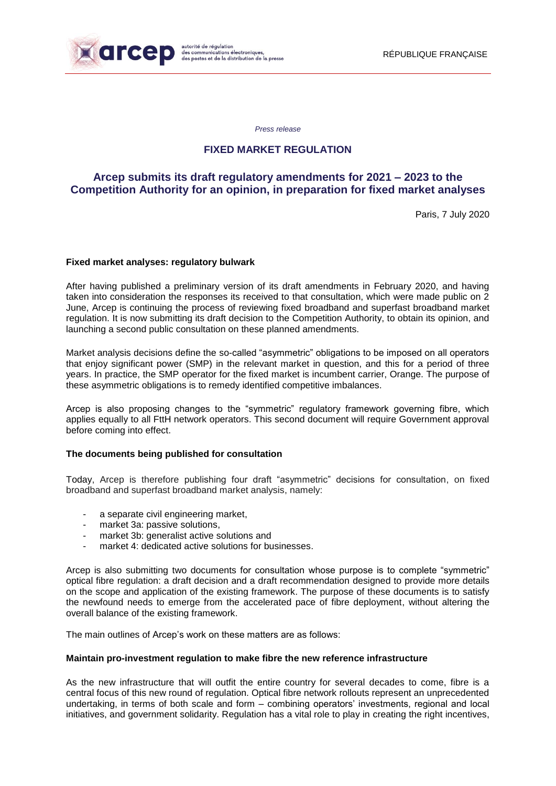

 $\overline{\phantom{a}}$ 

*Press release*

## **FIXED MARKET REGULATION**

# **Arcep submits its draft regulatory amendments for 2021 – 2023 to the Competition Authority for an opinion, in preparation for fixed market analyses**

Paris, 7 July 2020

#### **Fixed market analyses: regulatory bulwark**

After having published a preliminary version of its draft amendments in February 2020, and having taken into consideration the responses its received to that consultation, which were made public on 2 June, Arcep is continuing the process of reviewing fixed broadband and superfast broadband market regulation. It is now submitting its draft decision to the Competition Authority, to obtain its opinion, and launching a second public consultation on these planned amendments.

Market analysis decisions define the so-called "asymmetric" obligations to be imposed on all operators that enjoy significant power (SMP) in the relevant market in question, and this for a period of three years. In practice, the SMP operator for the fixed market is incumbent carrier, Orange. The purpose of these asymmetric obligations is to remedy identified competitive imbalances.

Arcep is also proposing changes to the "symmetric" regulatory framework governing fibre, which applies equally to all FttH network operators. This second document will require Government approval before coming into effect.

#### **The documents being published for consultation**

Today, Arcep is therefore publishing four draft "asymmetric" decisions for consultation, on fixed broadband and superfast broadband market analysis, namely:

- a separate civil engineering market,
- market 3a: passive solutions,
- market 3b: generalist active solutions and
- market 4: dedicated active solutions for businesses.

Arcep is also submitting two documents for consultation whose purpose is to complete "symmetric" optical fibre regulation: a draft decision and a draft recommendation designed to provide more details on the scope and application of the existing framework. The purpose of these documents is to satisfy the newfound needs to emerge from the accelerated pace of fibre deployment, without altering the overall balance of the existing framework.

The main outlines of Arcep's work on these matters are as follows:

#### **Maintain pro-investment regulation to make fibre the new reference infrastructure**

As the new infrastructure that will outfit the entire country for several decades to come, fibre is a central focus of this new round of regulation. Optical fibre network rollouts represent an unprecedented undertaking, in terms of both scale and form – combining operators' investments, regional and local initiatives, and government solidarity. Regulation has a vital role to play in creating the right incentives,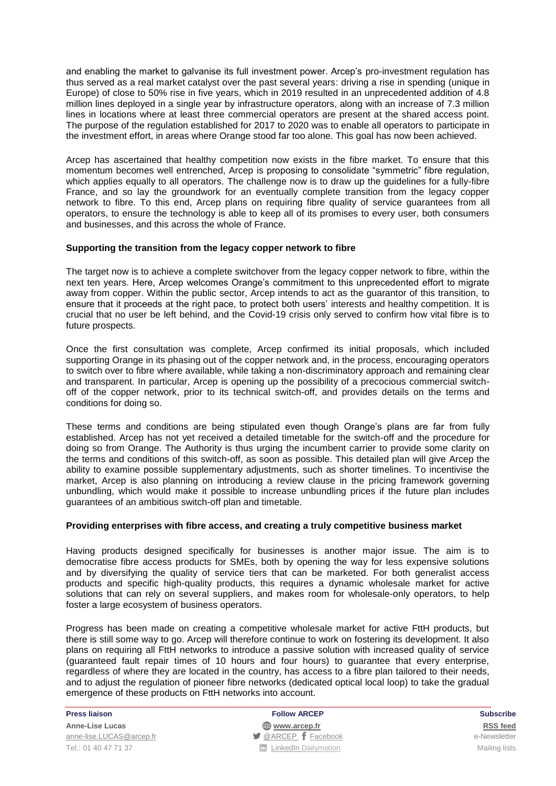and enabling the market to galvanise its full investment power. Arcep's pro-investment regulation has thus served as a real market catalyst over the past several years: driving a rise in spending (unique in Europe) of close to 50% rise in five years, which in 2019 resulted in an unprecedented addition of 4.8 million lines deployed in a single year by infrastructure operators, along with an increase of 7.3 million lines in locations where at least three commercial operators are present at the shared access point. The purpose of the regulation established for 2017 to 2020 was to enable all operators to participate in the investment effort, in areas where Orange stood far too alone. This goal has now been achieved.

Arcep has ascertained that healthy competition now exists in the fibre market. To ensure that this momentum becomes well entrenched, Arcep is proposing to consolidate "symmetric" fibre regulation, which applies equally to all operators. The challenge now is to draw up the guidelines for a fully-fibre France, and so lay the groundwork for an eventually complete transition from the legacy copper network to fibre. To this end, Arcep plans on requiring fibre quality of service guarantees from all operators, to ensure the technology is able to keep all of its promises to every user, both consumers and businesses, and this across the whole of France.

#### **Supporting the transition from the legacy copper network to fibre**

The target now is to achieve a complete switchover from the legacy copper network to fibre, within the next ten years. Here, Arcep welcomes Orange's commitment to this unprecedented effort to migrate away from copper. Within the public sector, Arcep intends to act as the guarantor of this transition, to ensure that it proceeds at the right pace, to protect both users' interests and healthy competition. It is crucial that no user be left behind, and the Covid-19 crisis only served to confirm how vital fibre is to future prospects.

Once the first consultation was complete, Arcep confirmed its initial proposals, which included supporting Orange in its phasing out of the copper network and, in the process, encouraging operators to switch over to fibre where available, while taking a non-discriminatory approach and remaining clear and transparent. In particular, Arcep is opening up the possibility of a precocious commercial switchoff of the copper network, prior to its technical switch-off, and provides details on the terms and conditions for doing so.

These terms and conditions are being stipulated even though Orange's plans are far from fully established. Arcep has not yet received a detailed timetable for the switch-off and the procedure for doing so from Orange. The Authority is thus urging the incumbent carrier to provide some clarity on the terms and conditions of this switch-off, as soon as possible. This detailed plan will give Arcep the ability to examine possible supplementary adjustments, such as shorter timelines. To incentivise the market, Arcep is also planning on introducing a review clause in the pricing framework governing unbundling, which would make it possible to increase unbundling prices if the future plan includes guarantees of an ambitious switch-off plan and timetable.

#### **Providing enterprises with fibre access, and creating a truly competitive business market**

Having products designed specifically for businesses is another major issue. The aim is to democratise fibre access products for SMEs, both by opening the way for less expensive solutions and by diversifying the quality of service tiers that can be marketed. For both generalist access products and specific high-quality products, this requires a dynamic wholesale market for active solutions that can rely on several suppliers, and makes room for wholesale-only operators, to help foster a large ecosystem of business operators.

Progress has been made on creating a competitive wholesale market for active FttH products, but there is still some way to go. Arcep will therefore continue to work on fostering its development. It also plans on requiring all FttH networks to introduce a passive solution with increased quality of service (guaranteed fault repair times of 10 hours and four hours) to guarantee that every enterprise, regardless of where they are located in the country, has access to a fibre plan tailored to their needs, and to adjust the regulation of pioneer fibre networks (dedicated optical local loop) to take the gradual emergence of these products on FttH networks into account.

**Anne-Lise Lucas [www.arcep.fr](http://www.arcep.fr/) [RSS](/feed/::www.arcep.fr:?eID=tx_rssforge&feedid=2&h=14df1) feed** [anne-lise.LUCAS@arcep.fr](mailto:anne-lise.LUCAS@arcep.fr) **[@ARCEP](http://www.twitter.com/ARCEP) F** [Facebook](https://www.facebook.com/arcep.fr) e-Newsletter Tel.: 01 40 47 71 37 [LinkedIn](https://www.linkedin.com/company/arcep) [Dailymotion](http://www.dailymotion.com/ARCEP) Mailing lists

**Press liaison Follow ARCEP Subscribe**